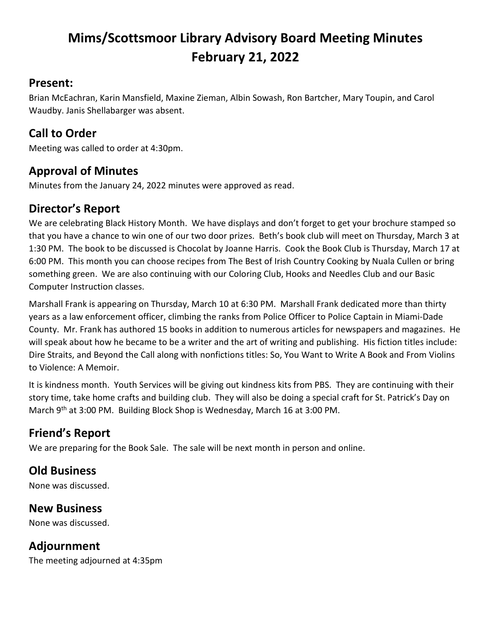# **Mims/Scottsmoor Library Advisory Board Meeting Minutes February 21, 2022**

#### **Present:**

Brian McEachran, Karin Mansfield, Maxine Zieman, Albin Sowash, Ron Bartcher, Mary Toupin, and Carol Waudby. Janis Shellabarger was absent.

#### **Call to Order**

Meeting was called to order at 4:30pm.

#### **Approval of Minutes**

Minutes from the January 24, 2022 minutes were approved as read.

### **Director's Report**

We are celebrating Black History Month. We have displays and don't forget to get your brochure stamped so that you have a chance to win one of our two door prizes. Beth's book club will meet on Thursday, March 3 at 1:30 PM. The book to be discussed is Chocolat by Joanne Harris. Cook the Book Club is Thursday, March 17 at 6:00 PM. This month you can choose recipes from The Best of Irish Country Cooking by Nuala Cullen or bring something green. We are also continuing with our Coloring Club, Hooks and Needles Club and our Basic Computer Instruction classes.

Marshall Frank is appearing on Thursday, March 10 at 6:30 PM. Marshall Frank dedicated more than thirty years as a law enforcement officer, climbing the ranks from Police Officer to Police Captain in Miami-Dade County. Mr. Frank has authored 15 books in addition to numerous articles for newspapers and magazines. He will speak about how he became to be a writer and the art of writing and publishing. His fiction titles include: Dire Straits, and Beyond the Call along with nonfictions titles: So, You Want to Write A Book and From Violins to Violence: A Memoir.

It is kindness month. Youth Services will be giving out kindness kits from PBS. They are continuing with their story time, take home crafts and building club. They will also be doing a special craft for St. Patrick's Day on March 9<sup>th</sup> at 3:00 PM. Building Block Shop is Wednesday, March 16 at 3:00 PM.

## **Friend's Report**

We are preparing for the Book Sale. The sale will be next month in person and online.

## **Old Business**

None was discussed.

#### **New Business**

None was discussed.

#### **Adjournment**

The meeting adjourned at 4:35pm